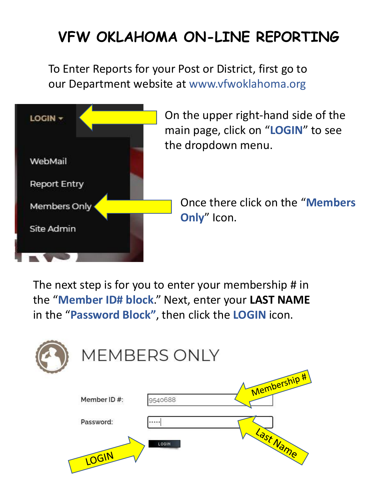# **VFW OKLAHOMA ON-LINE REPORTING**

To Enter Reports for your Post or District, first go to our Department website at www.vfwoklahoma.org



On the upper right-hand side of the main page, click on "**LOGIN**" to see the dropdown menu.

Once there click on the "**Members Only**" Icon.

The next step is for you to enter your membership # in the "**Member ID# block**." Next, enter your **LAST NAME**  in the "**Password Block"**, then click the **LOGIN** icon.

|             | <b>MEMBERS ONLY</b> |              |
|-------------|---------------------|--------------|
| Member ID#: | 9540688             | Membership # |
| Password:   |                     |              |
| LOGIN       | LOGIN               | Last Name    |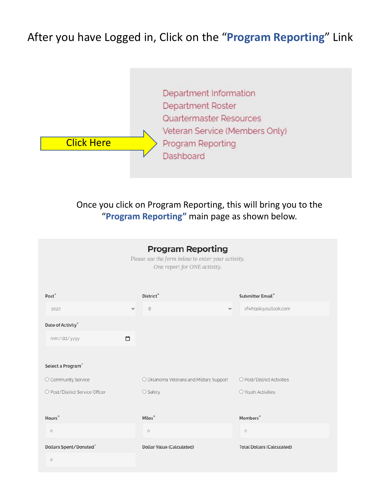#### After you have Logged in, Click on the "**Program Reporting**" Link



Once you click on Program Reporting, this will bring you to the "**Program Reporting"** main page as shown below.

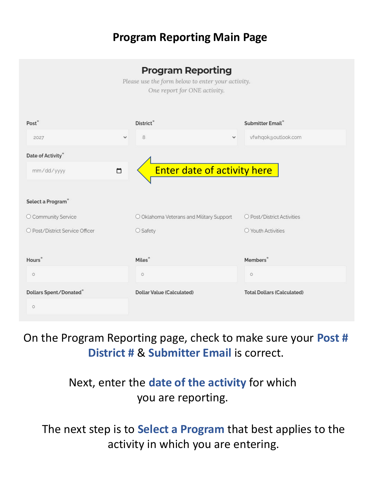#### **Program Reporting Main Page**

#### **Program Reporting**

Please use the form below to enter your activity. One report for ONE activity.

| Post <sup>*</sup>               | District*                                | Submitter Email*                  |
|---------------------------------|------------------------------------------|-----------------------------------|
| $\checkmark$<br>2027            | 8<br>$\checkmark$                        | vfwhqok@outlook.com               |
| Date of Activity*               |                                          |                                   |
| $\Box$<br>mm/dd/yyyy            | <b>Enter date of activity here</b>       |                                   |
|                                 |                                          |                                   |
| Select a Program*               |                                          |                                   |
| O Community Service             | O Oklahoma Veterans and Military Support | O Post/District Activities        |
| O Post/District Service Officer | $\bigcirc$ Safety                        | O Youth Activities                |
|                                 |                                          |                                   |
| Hours <sup>*</sup>              | Miles*                                   | Members <sup>*</sup>              |
| $\circ$                         | $\circ$                                  | $\circ$                           |
| Dollars Spent/Donated®          | Dollar Value (Calculated)                | <b>Total Dollars (Calculated)</b> |
| $\circ$                         |                                          |                                   |

#### On the Program Reporting page, check to make sure your **Post # District #** & **Submitter Email** is correct.

#### Next, enter the **date of the activity** for which you are reporting.

The next step is to **Select a Program** that best applies to the activity in which you are entering.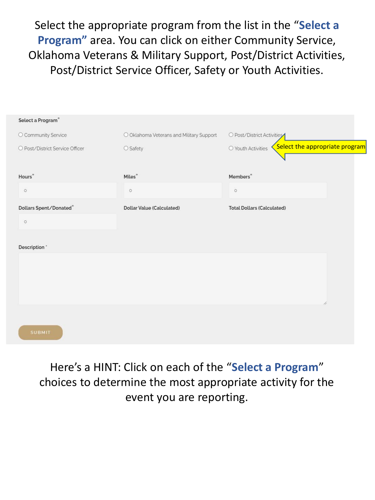Select the appropriate program from the list in the "**Select a Program"** area. You can click on either Community Service, Oklahoma Veterans & Military Support, Post/District Activities, Post/District Service Officer, Safety or Youth Activities.

| Select a Program <sup>®</sup>   |                                          |                                                      |
|---------------------------------|------------------------------------------|------------------------------------------------------|
| O Community Service             | O Oklahoma Veterans and Military Support | O Post/District Activities                           |
| O Post/District Service Officer | O Safety                                 | Select the appropriate program<br>O Youth Activities |
| Hours <sup>*</sup>              | Miles*                                   | Members <sup>*</sup>                                 |
| $\circ$                         | $\circ$                                  | $\circ$                                              |
| Dollars Spent/Donated*          | Dollar Value (Calculated)                | <b>Total Dollars (Calculated)</b>                    |
| $\circ$                         |                                          |                                                      |
| Description *                   |                                          |                                                      |
|                                 |                                          |                                                      |
|                                 |                                          |                                                      |
|                                 |                                          | h.                                                   |
|                                 |                                          |                                                      |
| <b>SUBMIT</b>                   |                                          |                                                      |

Here's a HINT: Click on each of the "**Select a Program**" choices to determine the most appropriate activity for the event you are reporting.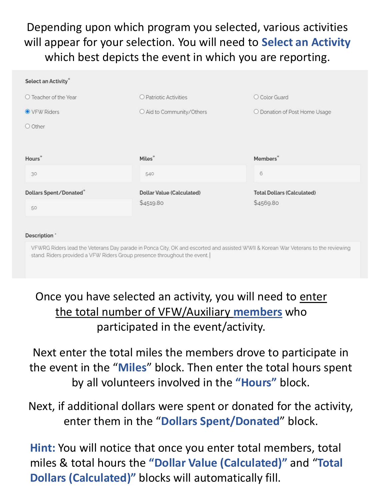## Depending upon which program you selected, various activities will appear for your selection. You will need to **Select an Activity**  which best depicts the event in which you are reporting.

| Select an Activity*            |                                  |                                   |
|--------------------------------|----------------------------------|-----------------------------------|
| $\bigcirc$ Teacher of the Year | O Patriotic Activities           | O Color Guard                     |
| ● VFW Riders                   | O Aid to Community/Others        | O Donation of Post Home Usage     |
| O Other                        |                                  |                                   |
|                                |                                  |                                   |
| Hours <sup>*</sup>             | Miles*                           | Members <sup>*</sup>              |
| 30                             | 540                              | $6\phantom{.}$                    |
| Dollars Spent/Donated*         | <b>Dollar Value (Calculated)</b> | <b>Total Dollars (Calculated)</b> |
| 50                             | \$4519.80                        | \$4569.80                         |
|                                |                                  |                                   |

#### Description \*

VFWRG Riders lead the Veterans Day parade in Ponca City, OK and escorted and assisted WWII & Korean War Veterans to the reviewing stand. Riders provided a VFW Riders Group presence throughout the event.

Once you have selected an activity, you will need to enter the total number of VFW/Auxiliary **members** who participated in the event/activity.

Next enter the total miles the members drove to participate in the event in the "**Miles**" block. Then enter the total hours spent by all volunteers involved in the **"Hours"** block.

Next, if additional dollars were spent or donated for the activity, enter them in the "**Dollars Spent/Donated**" block.

**Hint:** You will notice that once you enter total members, total miles & total hours the **"Dollar Value (Calculated)"** and "**Total Dollars (Calculated)"** blocks will automatically fill.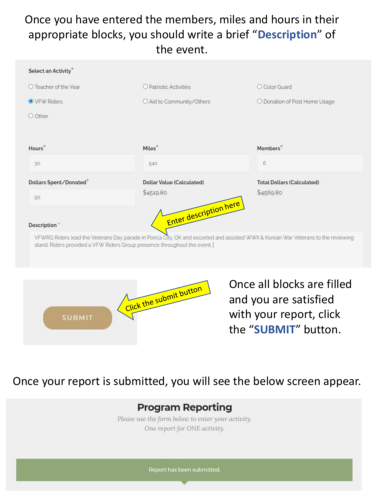### Once you have entered the members, miles and hours in their appropriate blocks, you should write a brief "**Description**" of the event.





Once all blocks are filled and you are satisfied with your report, click the "**SUBMIT**" button.

#### Once your report is submitted, you will see the below screen appear.

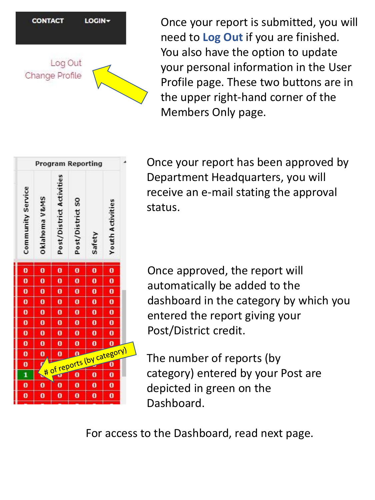

Once your report is submitted, you will need to **Log Out** if you are finished. You also have the option to update your personal information in the User Profile page. These two buttons are in the upper right-hand corner of the Members Only page.



Once your report has been approved by Department Headquarters, you will receive an e-mail stating the approval status.

Once approved, the report will automatically be added to the dashboard in the category by which you entered the report giving your Post/District credit.

The number of reports (by category) entered by your Post are depicted in green on the Dashboard.

For access to the Dashboard, read next page.